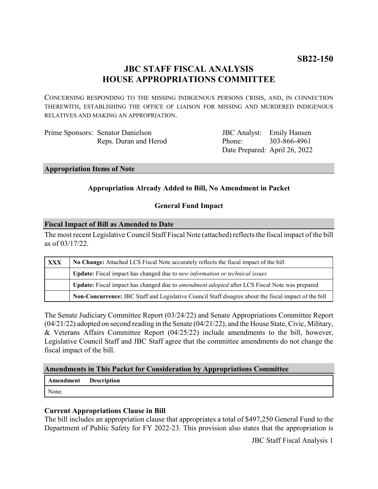# **JBC STAFF FISCAL ANALYSIS HOUSE APPROPRIATIONS COMMITTEE**

CONCERNING RESPONDING TO THE MISSING INDIGENOUS PERSONS CRISIS, AND, IN CONNECTION THEREWITH, ESTABLISHING THE OFFICE OF LIAISON FOR MISSING AND MURDERED INDIGENOUS RELATIVES AND MAKING AN APPROPRIATION.

| Prime Sponsors: Senator Danielson |
|-----------------------------------|
| Reps. Duran and Herod             |

JBC Analyst: Emily Hansen Phone: Date Prepared: April 26, 2022 303-866-4961

#### **Appropriation Items of Note**

# **Appropriation Already Added to Bill, No Amendment in Packet**

### **General Fund Impact**

#### **Fiscal Impact of Bill as Amended to Date**

The most recent Legislative Council Staff Fiscal Note (attached) reflects the fiscal impact of the bill as of 03/17/22.

| <b>XXX</b> | No Change: Attached LCS Fiscal Note accurately reflects the fiscal impact of the bill                 |  |
|------------|-------------------------------------------------------------------------------------------------------|--|
|            | <b>Update:</b> Fiscal impact has changed due to new information or technical issues                   |  |
|            | Update: Fiscal impact has changed due to <i>amendment adopted</i> after LCS Fiscal Note was prepared  |  |
|            | Non-Concurrence: JBC Staff and Legislative Council Staff disagree about the fiscal impact of the bill |  |

The Senate Judiciary Committee Report (03/24/22) and Senate Appropriations Committee Report (04/21/22) adopted on second reading in the Senate (04/21/22), and the House State, Civic, Military, & Veterans Affairs Committee Report (04/25/22) include amendments to the bill, however, Legislative Council Staff and JBC Staff agree that the committee amendments do not change the fiscal impact of the bill.

### **Amendments in This Packet for Consideration by Appropriations Committee**

| Amendment | <b>Description</b> |
|-----------|--------------------|
| None.     |                    |

### **Current Appropriations Clause in Bill**

The bill includes an appropriation clause that appropriates a total of \$497,250 General Fund to the Department of Public Safety for FY 2022-23. This provision also states that the appropriation is